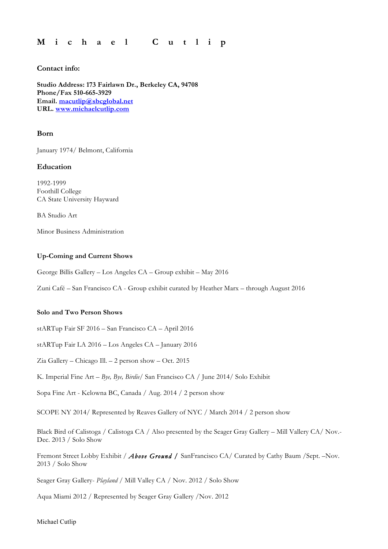## **M i c h a e l C u t l i p**

## **Contact info:**

**Studio Address: 173 Fairlawn Dr., Berkeley CA, 94708 Phone/Fax 510-665-3929 Email. macutlip@sbcglobal.net URL. www.michaelcutlip.com**

## **Born**

January 1974/ Belmont, California

## **Education**

1992-1999 Foothill College CA State University Hayward

BA Studio Art

Minor Business Administration

## **Up-Coming and Current Shows**

George Billis Gallery – Los Angeles CA – Group exhibit – May 2016

Zuni Café – San Francisco CA - Group exhibit curated by Heather Marx – through August 2016

## **Solo and Two Person Shows**

stARTup Fair SF 2016 – San Francisco CA – April 2016

stARTup Fair LA 2016 – Los Angeles CA – January 2016

Zia Gallery – Chicago Ill. – 2 person show – Oct. 2015

K. Imperial Fine Art – *Bye, Bye, Birdie*/ San Francisco CA / June 2014/ Solo Exhibit

Sopa Fine Art - Kelowna BC, Canada / Aug. 2014 / 2 person show

SCOPE NY 2014/ Represented by Reaves Gallery of NYC / March 2014 / 2 person show

Black Bird of Calistoga / Calistoga CA / Also presented by the Seager Gray Gallery – Mill Vallery CA/ Nov.- Dec. 2013 / Solo Show

Fremont Street Lobby Exhibit / Above Ground / SanFrancisco CA/ Curated by Cathy Baum /Sept. -Nov. 2013 / Solo Show

Seager Gray Gallery- *Playland* / Mill Valley CA / Nov. 2012 / Solo Show

Aqua Miami 2012 / Represented by Seager Gray Gallery /Nov. 2012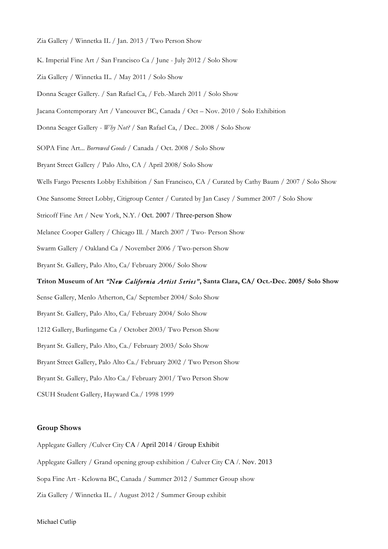- Zia Gallery / Winnetka IL / Jan. 2013 / Two Person Show
- K. Imperial Fine Art / San Francisco Ca / June July 2012 / Solo Show
- Zia Gallery / Winnetka IL. / May 2011 / Solo Show
- Donna Seager Gallery. / San Rafael Ca, / Feb.-March 2011 / Solo Show
- Jacana Contemporary Art / Vancouver BC, Canada / Oct Nov. 2010 / Solo Exhibition
- Donna Seager Gallery *Why Not?* / San Rafael Ca, / Dec.. 2008 / Solo Show
- SOPA Fine Art... *Borrowed Goods* / Canada / Oct. 2008 / Solo Show
- Bryant Street Gallery / Palo Alto, CA / April 2008/ Solo Show
- Wells Fargo Presents Lobby Exhibition / San Francisco, CA / Curated by Cathy Baum / 2007 / Solo Show
- One Sansome Street Lobby, Citigroup Center / Curated by Jan Casey / Summer 2007 / Solo Show
- Stricoff Fine Art / New York, N.Y. / Oct. 2007 / Three-person Show
- Melanee Cooper Gallery / Chicago Ill. / March 2007 / Two- Person Show
- Swarm Gallery / Oakland Ca / November 2006 / Two-person Show
- Bryant St. Gallery, Palo Alto, Ca/ February 2006/ Solo Show

# **Triton Museum of Art** *"New California Artist Series"***, Santa Clara, CA/ Oct.-Dec. 2005/ Solo Show**

Sense Gallery, Menlo Atherton, Ca/ September 2004/ Solo Show

- Bryant St. Gallery, Palo Alto, Ca/ February 2004/ Solo Show
- 1212 Gallery, Burlingame Ca / October 2003/ Two Person Show
- Bryant St. Gallery, Palo Alto, Ca./ February 2003/ Solo Show
- Bryant Street Gallery, Palo Alto Ca./ February 2002 / Two Person Show
- Bryant St. Gallery, Palo Alto Ca./ February 2001/ Two Person Show
- CSUH Student Gallery, Hayward Ca./ 1998 1999

#### **Group Shows**

- Applegate Gallery /Culver City CA / April 2014 / Group Exhibit
- Applegate Gallery / Grand opening group exhibition / Culver City CA /. Nov. 2013
- Sopa Fine Art Kelowna BC, Canada / Summer 2012 / Summer Group show
- Zia Gallery / Winnetka IL. / August 2012 / Summer Group exhibit

#### Michael Cutlip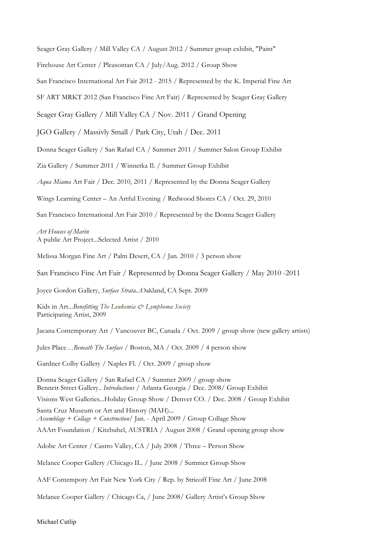Seager Gray Gallery / Mill Valley CA / August 2012 / Summer group exhibit, "Paint"

Firehouse Art Center / Pleasontan CA / July/Aug. 2012 / Group Show

San Francisco International Art Fair 2012 - 2015 / Represented by the K. Imperial Fine Art

SF ART MRKT 2012 (San Francisco Fine Art Fair) / Represented by Seager Gray Gallery

Seager Gray Gallery / Mill Valley CA / Nov. 2011 / Grand Opening

JGO Gallery / Massivly Small / Park City, Utah / Dec. 2011

Donna Seager Gallery / San Rafael CA / Summer 2011 / Summer Salon Group Exhibit

Zia Gallery / Summer 2011 / Winnetka Il. / Summer Group Exhibit

*Aqua Miama* Art Fair / Dec. 2010, 2011 / Represented by the Donna Seager Gallery

Wings Learning Center – An Artful Evening / Redwood Shores CA / Oct. 29, 2010

San Francisco International Art Fair 2010 / Represented by the Donna Seager Gallery

*Art Houses of Marin*  A public Art Project...Selected Artist / 2010

Melissa Morgan Fine Art / Palm Desert, CA / Jan. 2010 / 3 person show

San Francisco Fine Art Fair / Represented by Donna Seager Gallery / May 2010 -2011

Joyce Gordon Gallery, *Surface Strata*...Oakland, CA Sept. 2009

Kids in Art...*Benefitting The Leukemia & Lymphoma Society* Participating Artist, 2009

Jacana Contemporary Art / Vancouver BC, Canada / Oct. 2009 / group show (new gallery artists)

Jules Place…*Beneath The Surface* / Boston, MA / Oct. 2009 / 4 person show

Gardner Colby Gallery / Naples Fl. / Oct. 2009 / group show

Donna Seager Gallery / San Rafael CA / Summer 2009 / group show Bennett Street Gallery.. *Introductions* / Atlanta Georgia / Dec. 2008/ Group Exhibit Visions West Galleries...Holiday Group Show / Denver CO. / Dec. 2008 / Group Exhibit Santa Cruz Museum or Art and History (MAH)... *Assemblage + Collage + Construction*/ Jan. - April 2009 / Group Collage Show AAArt Foundation / Kitzbuhel, AUSTRIA / August 2008 / Grand opening group show Adobe Art Center / Castro Valley, CA / July 2008 / Three – Person Show Melanee Cooper Gallery /Chicago IL. / June 2008 / Summer Group Show AAF Contempory Art Fair New York City / Rep. by Stricoff Fine Art / June 2008

Melanee Cooper Gallery / Chicago Ca, / June 2008/ Gallery Artist's Group Show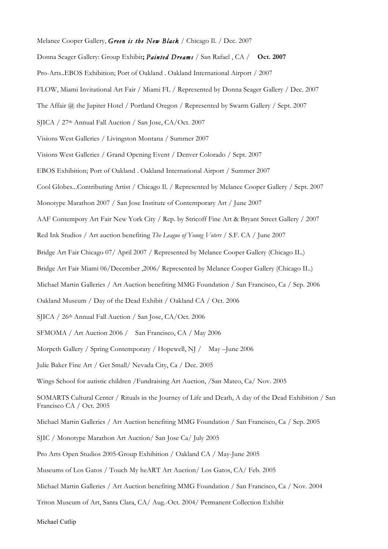Melanee Cooper Gallery, *Green is the New Black* / Chicago Il. / Dec. 2007

Donna Seager Gallery: Group Exhibit**;** *Painted Dreams /* San Rafael , CA / **Oct. 2007**

Pro-Arts..EBOS Exhibition; Port of Oakland . Oakland International Airport / 2007

FLOW, Miami Invitational Art Fair / Miami FL / Represented by Donna Seager Gallery / Dec. 2007

The Affair @ the Jupiter Hotel / Portland Oregon / Represented by Swarm Gallery / Sept. 2007

SJICA / 27th Annual Fall Auction / San Jose, CA/Oct. 2007

Visions West Galleries / Livingston Montana / Summer 2007

Visions West Galleries / Grand Opening Event / Denver Colorado / Sept. 2007

EBOS Exhibition; Port of Oakland . Oakland International Airport / Summer 2007

Cool Globes...Contributing Artist / Chicago Il. / Represented by Melanee Cooper Gallery / Sept. 2007

Monotype Marathon 2007 / San Jose Institute of Contemporary Art / June 2007

AAF Contempory Art Fair New York City / Rep. by Stricoff Fine Art & Bryant Street Gallery / 2007

Red Ink Studios / Art auction benefiting *The League of Young Voters /* S.F. CA / June 2007

Bridge Art Fair Chicago 07/ April 2007 / Represented by Melanee Cooper Gallery (Chicago IL.)

Bridge Art Fair Miami 06/December ,2006/ Represented by Melanee Cooper Gallery (Chicago IL.)

Michael Martin Galleries / Art Auction benefiting MMG Foundation / San Francisco, Ca / Sep. 2006

Oakland Museum / Day of the Dead Exhibit / Oakland CA / Oct. 2006

SJICA / 26th Annual Fall Auction / San Jose, CA/Oct. 2006

SFMOMA / Art Auction 2006 / San Francisco, CA / May 2006

Morpeth Gallery / Spring Contemporary / Hopewell, NJ / May –June 2006

Julie Baker Fine Art / Get Small/ Nevada City, Ca / Dec. 2005

Wings School for autistic children /Fundraising Art Auction, /San Mateo, Ca/ Nov. 2005

SOMARTS Cultural Center / Rituals in the Journey of Life and Death, A day of the Dead Exhibition / San Francisco CA / Oct. 2005

Michael Martin Galleries / Art Auction benefiting MMG Foundation / San Francisco, Ca / Sep. 2005

SJIC / Monotype Marathon Art Auction/ San Jose Ca/ July 2005

Pro Arts Open Studios 2005-Group Exhibition / Oakland CA / May-June 2005

Museums of Los Gatos / Touch My heART Art Auction/ Los Gatos, CA/ Feb. 2005

Michael Martin Galleries / Art Auction benefiting MMG Foundation / San Francisco, Ca / Nov. 2004

Triton Museum of Art, Santa Clara, CA/ Aug.-Oct. 2004/ Permanent Collection Exhibit

Michael Cutlip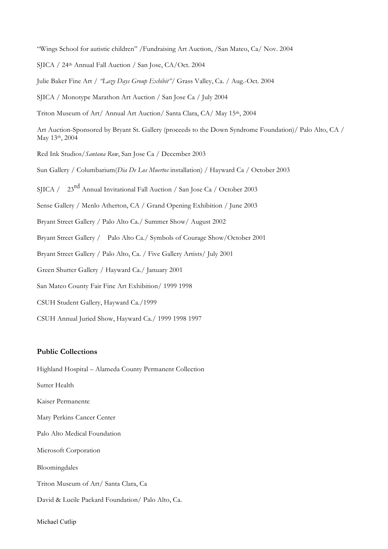"Wings School for autistic children" /Fundraising Art Auction, /San Mateo, Ca/ Nov. 2004

SJICA / 24th Annual Fall Auction / San Jose, CA/Oct. 2004

Julie Baker Fine Art / *"Lazy Days Group Exhibit"*/ Grass Valley, Ca. / Aug.-Oct. 2004

SJICA / Monotype Marathon Art Auction / San Jose Ca / July 2004

Triton Museum of Art/ Annual Art Auction/ Santa Clara, CA/ May 15th, 2004

Art Auction-Sponsored by Bryant St. Gallery (proceeds to the Down Syndrome Foundation)/ Palo Alto, CA / May 13th, 2004

Red Ink Studios/*Santana Row*, San Jose Ca / December 2003

Sun Gallery / Columbarium(*Dia De Los Muertos* installation) / Hayward Ca / October 2003

SIICA / 23<sup>rd</sup> Annual Invitational Fall Auction / San Jose Ca / October 2003

Sense Gallery / Menlo Atherton, CA / Grand Opening Exhibition / June 2003

Bryant Street Gallery / Palo Alto Ca./ Summer Show/ August 2002

Bryant Street Gallery / Palo Alto Ca./ Symbols of Courage Show/October 2001

Bryant Street Gallery / Palo Alto, Ca. / Five Gallery Artists/ July 2001

Green Shutter Gallery / Hayward Ca./ January 2001

San Mateo County Fair Fine Art Exhibition/ 1999 1998

CSUH Student Gallery, Hayward Ca./1999

CSUH Annual Juried Show, Hayward Ca./ 1999 1998 1997

#### **Public Collections**

Highland Hospital – Alameda County Permanent Collection

Sutter Health

Kaiser Permanente

Mary Perkins Cancer Center

Palo Alto Medical Foundation

Microsoft Corporation

Bloomingdales

Triton Museum of Art/ Santa Clara, Ca

David & Lucile Packard Foundation/ Palo Alto, Ca.

Michael Cutlip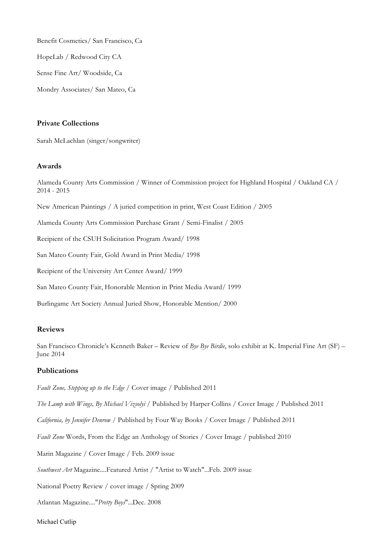Benefit Cosmetics/ San Francisco, Ca

HopeLab / Redwood City CA

Sense Fine Art/ Woodside, Ca

Mondry Associates/ San Mateo, Ca

## **Private Collections**

Sarah McLachlan (singer/songwriter)

## **Awards**

Alameda County Arts Commission / Winner of Commission project for Highland Hospital / Oakland CA / 2014 - 2015

New American Paintings / A juried competition in print, West Coast Edition / 2005

Alameda County Arts Commission Purchase Grant / Semi-Finalist / 2005

Recipient of the CSUH Solicitation Program Award/ 1998

San Mateo County Fair, Gold Award in Print Media/ 1998

Recipient of the University Art Center Award/ 1999

San Mateo County Fair, Honorable Mention in Print Media Award/ 1999

Burlingame Art Society Annual Juried Show, Honorable Mention/ 2000

## **Reviews**

San Francisco Chronicle's Kenneth Baker – Review of *Bye Bye Birdie*, solo exhibit at K. Imperial Fine Art (SF) – June 2014

## **Publications**

*Fault Zone, Stepping up to the Edge /* Cover image / Published 2011

*The Lamp with Wings, By Michael Vizsolyi /* Published by Harper Collins / Cover Image / Published 2011

*California, by Jennifer Denrow /* Published by Four Way Books / Cover Image / Published 2011

*Fault Zone* Words, From the Edge an Anthology of Stories / Cover Image / published 2010

Marin Magazine / Cover Image / Feb. 2009 issue

*Southwest Art* Magazine....Featured Artist / "Artist to Watch"...Feb. 2009 issue

National Poetry Review / cover image / Spring 2009

Atlantan Magazine...."*Pretty Boys*"...Dec. 2008